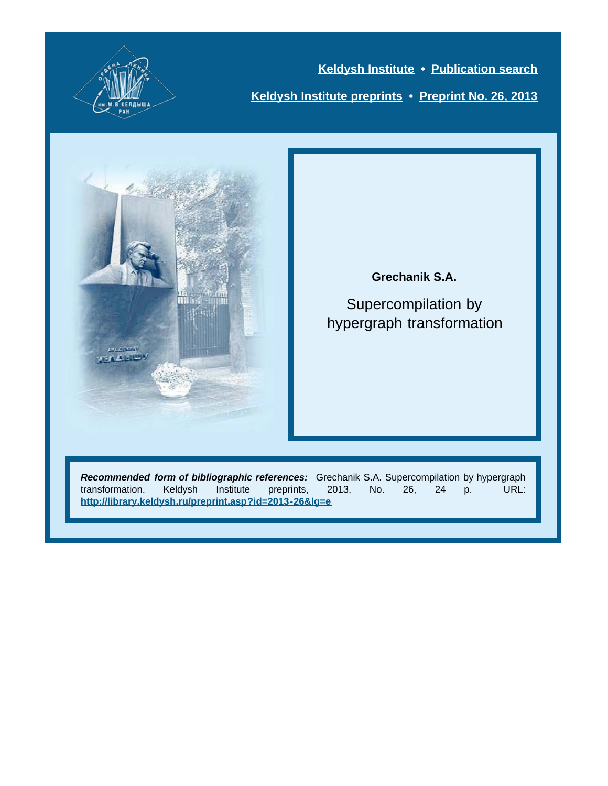

**[Keldysh Institute](http://keldysh.ru/index.en.shtml) • [Publication search](http://library.keldysh.ru/prep_qf.asp?lg=e) [Keldysh Institute preprints](http://library.keldysh.ru/preprints/default.asp?lg=e) • [Preprint No. 26, 2013](http://library.keldysh.ru/preprint.asp?id=2013-26&lg=e)**



**Grechanik S.A.**

Supercompilation by hypergraph transformation

**Recommended form of bibliographic references:** Grechanik S.A. Supercompilation by hypergraph transformation. Keldysh Institute preprints, 2013, No. 26, 24 p. URL: transformation. Keldysh Institute preprints, 2013, No. 26, 24 p. **<http://library.keldysh.ru/preprint.asp?id=2013-26&lg=e>**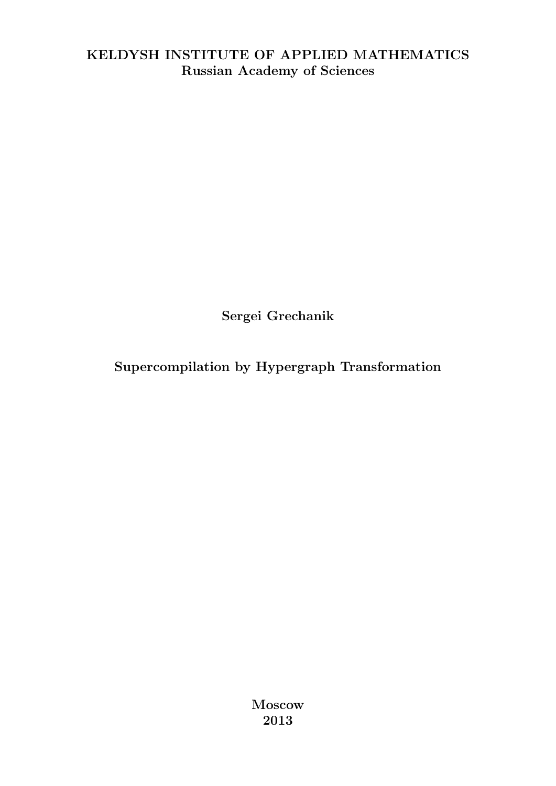#### KELDYSH INSTITUTE OF APPLIED MATHEMATICS Russian Academy of Sciences

Sergei Grechanik

Supercompilation by Hypergraph Transformation

Moscow 2013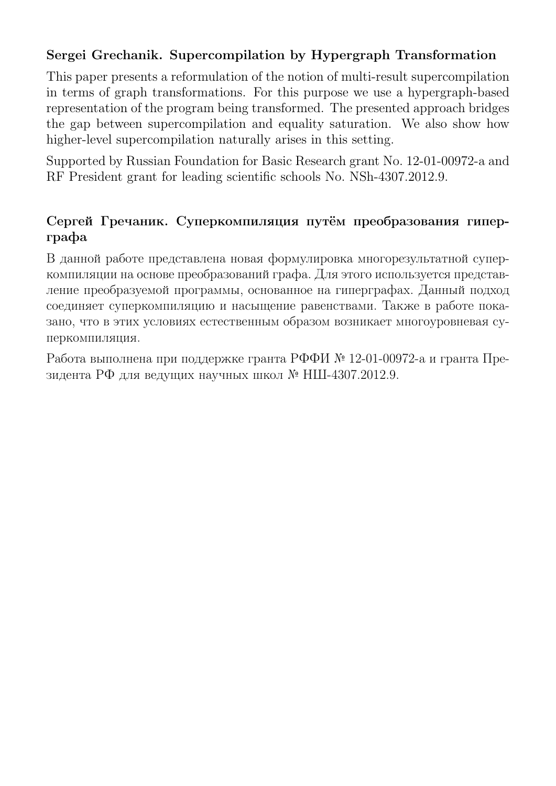#### Sergei Grechanik. Supercompilation by Hypergraph Transformation

This paper presents a reformulation of the notion of multi-result supercompilation in terms of graph transformations. For this purpose we use a hypergraph-based representation of the program being transformed. The presented approach bridges the gap between supercompilation and equality saturation. We also show how higher-level supercompilation naturally arises in this setting.

Supported by Russian Foundation for Basic Research grant No. 12-01-00972-a and RF President grant for leading scientific schools No. NSh-4307.2012.9.

#### Сергей Гречаник. Суперкомпиляция путём преобразования гиперграфа

В данной работе представлена новая формулировка многорезультатной суперкомпиляции на основе преобразований графа. Для этого используется представление преобразуемой программы, основанное на гиперграфах. Данный подход соединяет суперкомпиляцию и насыщение равенствами. Также в работе показано, что в этих условиях естественным образом возникает многоуровневая суперкомпиляция.

Работа выполнена при поддержке гранта РФФИ № 12-01-00972-a и гранта Президента РФ для ведущих научных школ № НШ-4307.2012.9.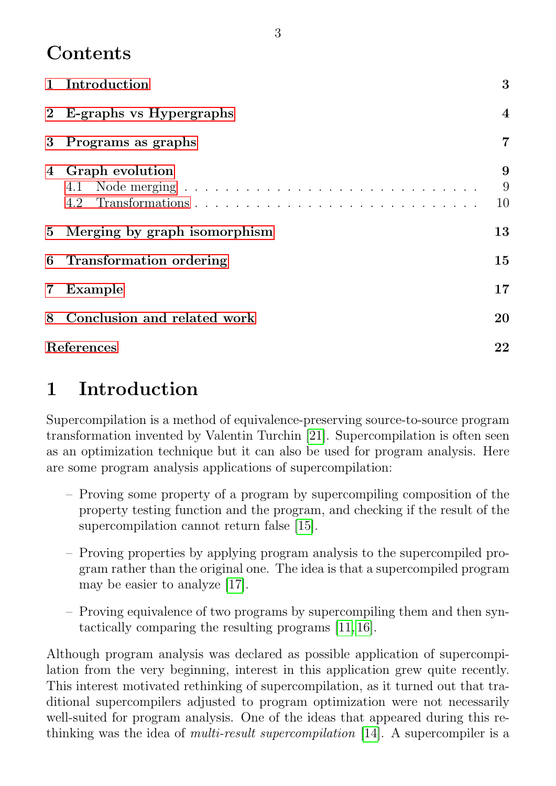# **Contents**

| $\mathbf{1}$    | Introduction                         | 3                       |  |
|-----------------|--------------------------------------|-------------------------|--|
|                 | 2 E-graphs vs Hypergraphs            | $\overline{\mathbf{4}}$ |  |
|                 | 3 Programs as graphs                 | $\overline{7}$          |  |
| $\overline{4}$  | <b>Graph</b> evolution               | 9<br>9                  |  |
|                 |                                      | 10                      |  |
|                 | 5 Merging by graph isomorphism       | 13                      |  |
| 6               | <b>Transformation ordering</b><br>15 |                         |  |
| $7\overline{ }$ | Example                              | 17                      |  |
| 8               | Conclusion and related work          | 20                      |  |
|                 | References<br>$\bf{22}$              |                         |  |

# <span id="page-3-0"></span>1 Introduction

Supercompilation is a method of equivalence-preserving source-to-source program transformation invented by Valentin Turchin [\[21\]](#page-24-0). Supercompilation is often seen as an optimization technique but it can also be used for program analysis. Here are some program analysis applications of supercompilation:

- Proving some property of a program by supercompiling composition of the property testing function and the program, and checking if the result of the supercompilation cannot return false [\[15\]](#page-23-0).
- Proving properties by applying program analysis to the supercompiled program rather than the original one. The idea is that a supercompiled program may be easier to analyze [\[17\]](#page-23-1).
- Proving equivalence of two programs by supercompiling them and then syntactically comparing the resulting programs [\[11,](#page-23-2) [16\]](#page-23-3).

Although program analysis was declared as possible application of supercompilation from the very beginning, interest in this application grew quite recently. This interest motivated rethinking of supercompilation, as it turned out that traditional supercompilers adjusted to program optimization were not necessarily well-suited for program analysis. One of the ideas that appeared during this rethinking was the idea of multi-result supercompilation [\[14\]](#page-23-4). A supercompiler is a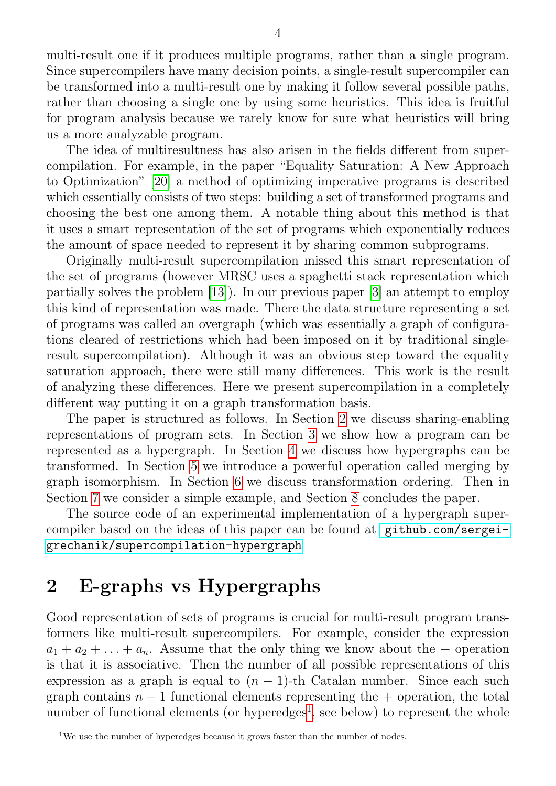multi-result one if it produces multiple programs, rather than a single program. Since supercompilers have many decision points, a single-result supercompiler can be transformed into a multi-result one by making it follow several possible paths, rather than choosing a single one by using some heuristics. This idea is fruitful for program analysis because we rarely know for sure what heuristics will bring us a more analyzable program.

The idea of multiresultness has also arisen in the fields different from supercompilation. For example, in the paper "Equality Saturation: A New Approach to Optimization" [\[20\]](#page-23-5) a method of optimizing imperative programs is described which essentially consists of two steps: building a set of transformed programs and choosing the best one among them. A notable thing about this method is that it uses a smart representation of the set of programs which exponentially reduces the amount of space needed to represent it by sharing common subprograms.

Originally multi-result supercompilation missed this smart representation of the set of programs (however MRSC uses a spaghetti stack representation which partially solves the problem [\[13\]](#page-23-6)). In our previous paper [\[3\]](#page-22-1) an attempt to employ this kind of representation was made. There the data structure representing a set of programs was called an overgraph (which was essentially a graph of configurations cleared of restrictions which had been imposed on it by traditional singleresult supercompilation). Although it was an obvious step toward the equality saturation approach, there were still many differences. This work is the result of analyzing these differences. Here we present supercompilation in a completely different way putting it on a graph transformation basis.

The paper is structured as follows. In Section [2](#page-4-0) we discuss sharing-enabling representations of program sets. In Section [3](#page-7-0) we show how a program can be represented as a hypergraph. In Section [4](#page-9-0) we discuss how hypergraphs can be transformed. In Section [5](#page-13-0) we introduce a powerful operation called merging by graph isomorphism. In Section [6](#page-15-0) we discuss transformation ordering. Then in Section [7](#page-17-0) we consider a simple example, and Section [8](#page-20-0) concludes the paper.

The source code of an experimental implementation of a hypergraph supercompiler based on the ideas of this paper can be found at [github.com/sergei](https://github.com/sergei-grechanik/supercompilation-hypergraph)[grechanik/supercompilation-hypergraph](https://github.com/sergei-grechanik/supercompilation-hypergraph)

## <span id="page-4-0"></span>2 E-graphs vs Hypergraphs

Good representation of sets of programs is crucial for multi-result program transformers like multi-result supercompilers. For example, consider the expression  $a_1 + a_2 + \ldots + a_n$ . Assume that the only thing we know about the + operation is that it is associative. Then the number of all possible representations of this expression as a graph is equal to  $(n - 1)$ -th Catalan number. Since each such graph contains  $n - 1$  functional elements representing the  $+$  operation, the total number of functional elements (or hyperedges<sup>[1](#page-4-1)</sup>, see below) to represent the whole

<span id="page-4-1"></span><sup>&</sup>lt;sup>1</sup>We use the number of hyperedges because it grows faster than the number of nodes.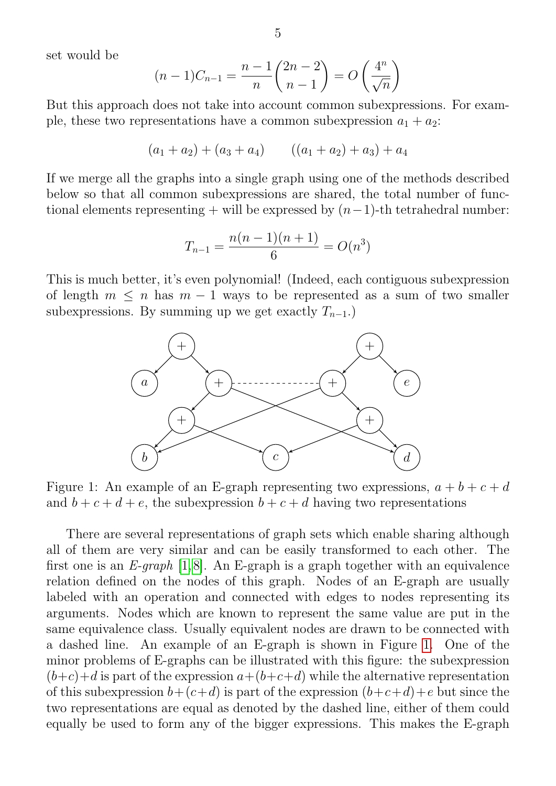set would be

$$
(n-1)C_{n-1} = \frac{n-1}{n} \binom{2n-2}{n-1} = O\left(\frac{4^n}{\sqrt{n}}\right)
$$

But this approach does not take into account common subexpressions. For example, these two representations have a common subexpression  $a_1 + a_2$ .

$$
(a_1 + a_2) + (a_3 + a_4) \qquad ((a_1 + a_2) + a_3) + a_4
$$

If we merge all the graphs into a single graph using one of the methods described below so that all common subexpressions are shared, the total number of functional elements representing + will be expressed by  $(n-1)$ -th tetrahedral number:

$$
T_{n-1} = \frac{n(n-1)(n+1)}{6} = O(n^3)
$$

<span id="page-5-0"></span>This is much better, it's even polynomial! (Indeed, each contiguous subexpression of length  $m \leq n$  has  $m-1$  ways to be represented as a sum of two smaller subexpressions. By summing up we get exactly  $T_{n-1}$ .)



Figure 1: An example of an E-graph representing two expressions,  $a + b + c + d$ and  $b + c + d + e$ , the subexpression  $b + c + d$  having two representations

There are several representations of graph sets which enable sharing although all of them are very similar and can be easily transformed to each other. The first one is an E-graph  $[1,8]$  $[1,8]$ . An E-graph is a graph together with an equivalence relation defined on the nodes of this graph. Nodes of an E-graph are usually labeled with an operation and connected with edges to nodes representing its arguments. Nodes which are known to represent the same value are put in the same equivalence class. Usually equivalent nodes are drawn to be connected with a dashed line. An example of an E-graph is shown in Figure [1.](#page-5-0) One of the minor problems of E-graphs can be illustrated with this figure: the subexpression  $(b+c)+d$  is part of the expression  $a+(b+c+d)$  while the alternative representation of this subexpression  $b+(c+d)$  is part of the expression  $(b+c+d)+e$  but since the two representations are equal as denoted by the dashed line, either of them could equally be used to form any of the bigger expressions. This makes the E-graph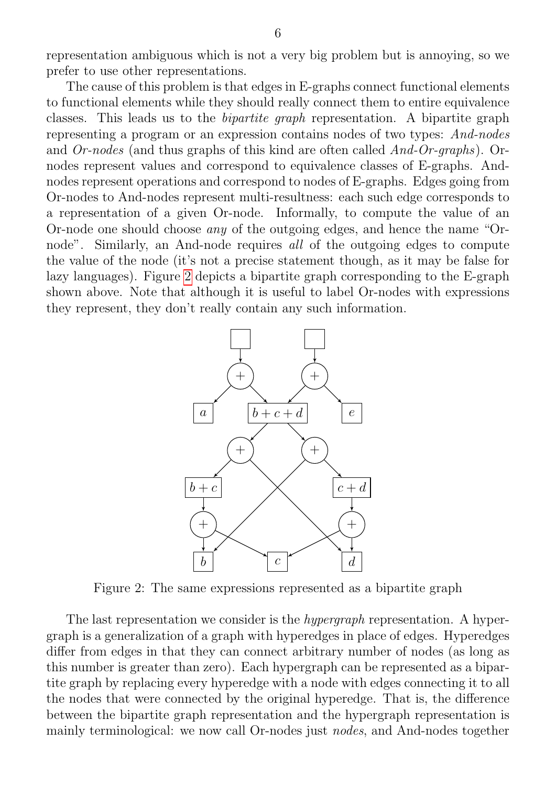representation ambiguous which is not a very big problem but is annoying, so we prefer to use other representations.

The cause of this problem is that edges in E-graphs connect functional elements to functional elements while they should really connect them to entire equivalence classes. This leads us to the bipartite graph representation. A bipartite graph representing a program or an expression contains nodes of two types: And-nodes and Or-nodes (and thus graphs of this kind are often called And-Or-graphs). Ornodes represent values and correspond to equivalence classes of E-graphs. Andnodes represent operations and correspond to nodes of E-graphs. Edges going from Or-nodes to And-nodes represent multi-resultness: each such edge corresponds to a representation of a given Or-node. Informally, to compute the value of an Or-node one should choose any of the outgoing edges, and hence the name "Ornode". Similarly, an And-node requires all of the outgoing edges to compute the value of the node (it's not a precise statement though, as it may be false for lazy languages). Figure [2](#page-6-0) depicts a bipartite graph corresponding to the E-graph shown above. Note that although it is useful to label Or-nodes with expressions they represent, they don't really contain any such information.

<span id="page-6-0"></span>

Figure 2: The same expressions represented as a bipartite graph

The last representation we consider is the *hypergraph* representation. A hypergraph is a generalization of a graph with hyperedges in place of edges. Hyperedges differ from edges in that they can connect arbitrary number of nodes (as long as this number is greater than zero). Each hypergraph can be represented as a bipartite graph by replacing every hyperedge with a node with edges connecting it to all the nodes that were connected by the original hyperedge. That is, the difference between the bipartite graph representation and the hypergraph representation is mainly terminological: we now call Or-nodes just nodes, and And-nodes together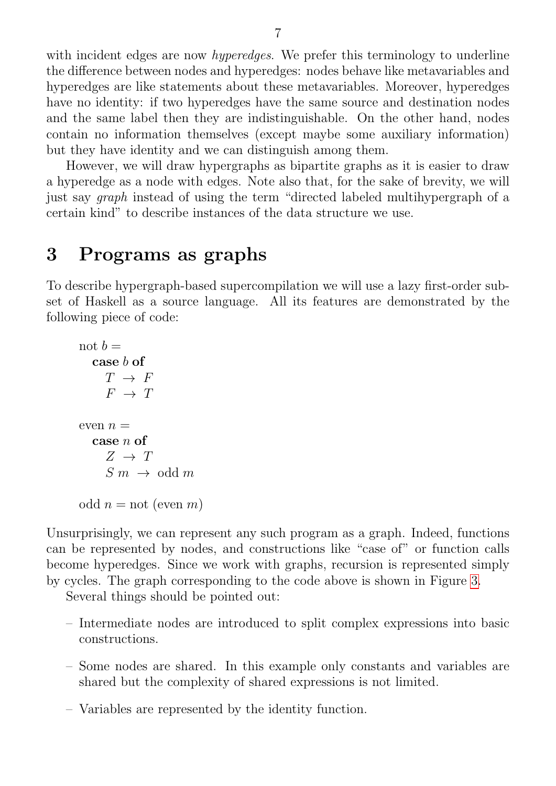with incident edges are now *hyperedges*. We prefer this terminology to underline the difference between nodes and hyperedges: nodes behave like metavariables and hyperedges are like statements about these metavariables. Moreover, hyperedges have no identity: if two hyperedges have the same source and destination nodes and the same label then they are indistinguishable. On the other hand, nodes contain no information themselves (except maybe some auxiliary information) but they have identity and we can distinguish among them.

However, we will draw hypergraphs as bipartite graphs as it is easier to draw a hyperedge as a node with edges. Note also that, for the sake of brevity, we will just say graph instead of using the term "directed labeled multihypergraph of a certain kind" to describe instances of the data structure we use.

## <span id="page-7-0"></span>3 Programs as graphs

To describe hypergraph-based supercompilation we will use a lazy first-order subset of Haskell as a source language. All its features are demonstrated by the following piece of code:

```
not b =case  of
   T \rightarrow FF \rightarrow Teven n =case n of
   Z \rightarrow TS m \rightarrow \text{odd } modd n = \text{not} (even m)
```
Unsurprisingly, we can represent any such program as a graph. Indeed, functions can be represented by nodes, and constructions like "case of" or function calls become hyperedges. Since we work with graphs, recursion is represented simply by cycles. The graph corresponding to the code above is shown in Figure [3.](#page-8-0)

Several things should be pointed out:

- Intermediate nodes are introduced to split complex expressions into basic constructions.
- Some nodes are shared. In this example only constants and variables are shared but the complexity of shared expressions is not limited.
- Variables are represented by the identity function.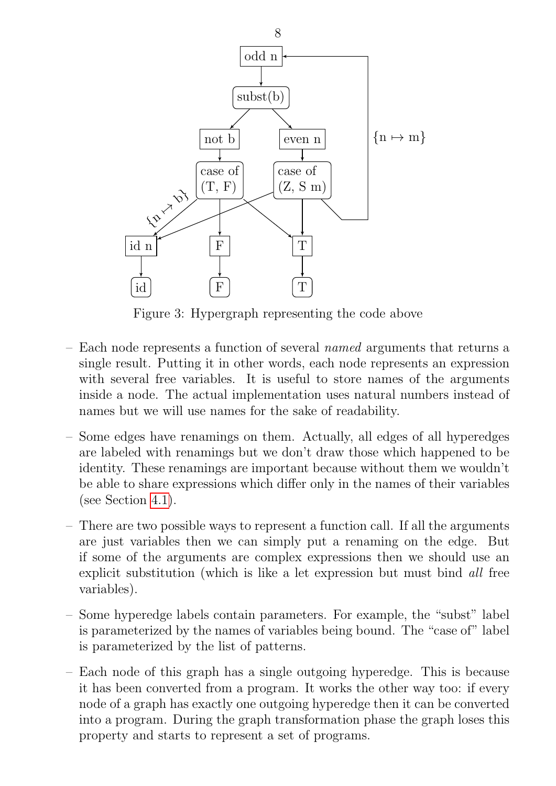<span id="page-8-0"></span>

Figure 3: Hypergraph representing the code above

- Each node represents a function of several named arguments that returns a single result. Putting it in other words, each node represents an expression with several free variables. It is useful to store names of the arguments inside a node. The actual implementation uses natural numbers instead of names but we will use names for the sake of readability.
- Some edges have renamings on them. Actually, all edges of all hyperedges are labeled with renamings but we don't draw those which happened to be identity. These renamings are important because without them we wouldn't be able to share expressions which differ only in the names of their variables (see Section [4.1\)](#page-9-1).
- There are two possible ways to represent a function call. If all the arguments are just variables then we can simply put a renaming on the edge. But if some of the arguments are complex expressions then we should use an explicit substitution (which is like a let expression but must bind all free variables).
- Some hyperedge labels contain parameters. For example, the "subst" label is parameterized by the names of variables being bound. The "case of" label is parameterized by the list of patterns.
- Each node of this graph has a single outgoing hyperedge. This is because it has been converted from a program. It works the other way too: if every node of a graph has exactly one outgoing hyperedge then it can be converted into a program. During the graph transformation phase the graph loses this property and starts to represent a set of programs.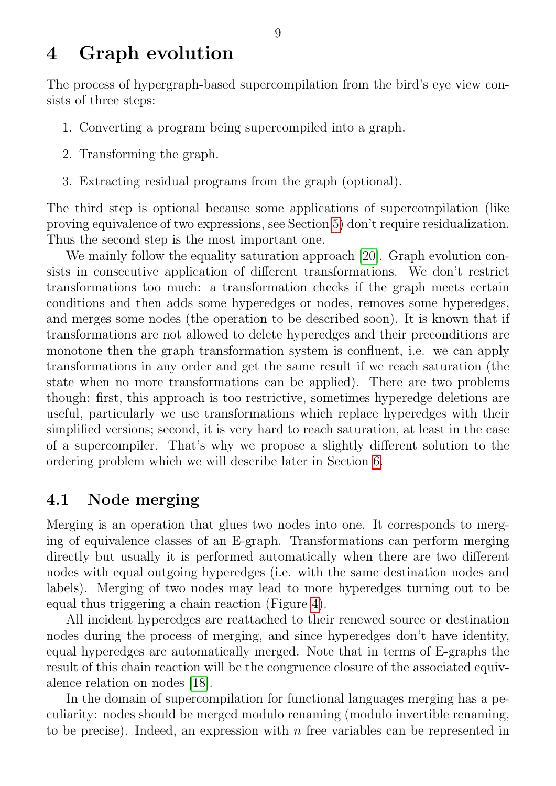# <span id="page-9-0"></span>4 Graph evolution

The process of hypergraph-based supercompilation from the bird's eye view consists of three steps:

- 1. Converting a program being supercompiled into a graph.
- 2. Transforming the graph.
- 3. Extracting residual programs from the graph (optional).

The third step is optional because some applications of supercompilation (like proving equivalence of two expressions, see Section [5\)](#page-13-0) don't require residualization. Thus the second step is the most important one.

We mainly follow the equality saturation approach [\[20\]](#page-23-5). Graph evolution consists in consecutive application of different transformations. We don't restrict transformations too much: a transformation checks if the graph meets certain conditions and then adds some hyperedges or nodes, removes some hyperedges, and merges some nodes (the operation to be described soon). It is known that if transformations are not allowed to delete hyperedges and their preconditions are monotone then the graph transformation system is confluent, i.e. we can apply transformations in any order and get the same result if we reach saturation (the state when no more transformations can be applied). There are two problems though: first, this approach is too restrictive, sometimes hyperedge deletions are useful, particularly we use transformations which replace hyperedges with their simplified versions; second, it is very hard to reach saturation, at least in the case of a supercompiler. That's why we propose a slightly different solution to the ordering problem which we will describe later in Section [6.](#page-15-0)

### <span id="page-9-1"></span>4.1 Node merging

Merging is an operation that glues two nodes into one. It corresponds to merging of equivalence classes of an E-graph. Transformations can perform merging directly but usually it is performed automatically when there are two different nodes with equal outgoing hyperedges (i.e. with the same destination nodes and labels). Merging of two nodes may lead to more hyperedges turning out to be equal thus triggering a chain reaction (Figure [4\)](#page-10-1).

All incident hyperedges are reattached to their renewed source or destination nodes during the process of merging, and since hyperedges don't have identity, equal hyperedges are automatically merged. Note that in terms of E-graphs the result of this chain reaction will be the congruence closure of the associated equivalence relation on nodes [\[18\]](#page-23-7).

In the domain of supercompilation for functional languages merging has a peculiarity: nodes should be merged modulo renaming (modulo invertible renaming, to be precise). Indeed, an expression with  $n$  free variables can be represented in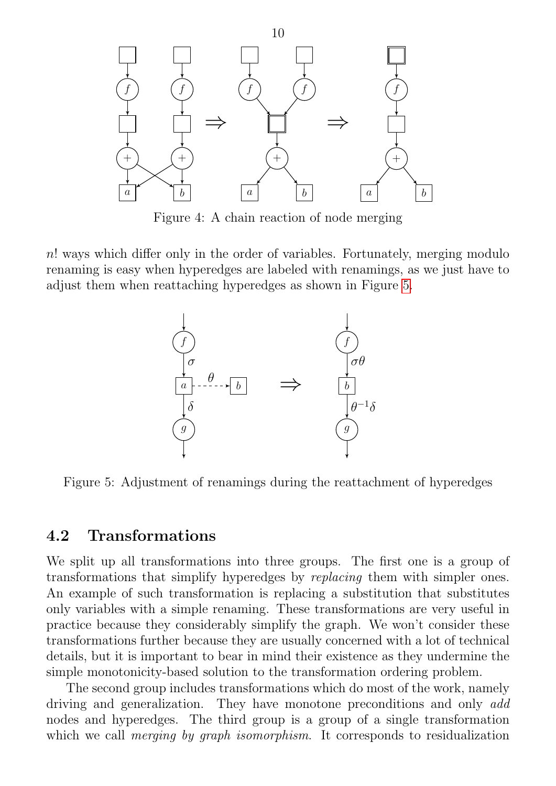<span id="page-10-1"></span>

Figure 4: A chain reaction of node merging

<span id="page-10-2"></span>n! ways which differ only in the order of variables. Fortunately, merging modulo renaming is easy when hyperedges are labeled with renamings, as we just have to adjust them when reattaching hyperedges as shown in Figure [5.](#page-10-2)



Figure 5: Adjustment of renamings during the reattachment of hyperedges

#### <span id="page-10-0"></span>4.2 Transformations

We split up all transformations into three groups. The first one is a group of transformations that simplify hyperedges by replacing them with simpler ones. An example of such transformation is replacing a substitution that substitutes only variables with a simple renaming. These transformations are very useful in practice because they considerably simplify the graph. We won't consider these transformations further because they are usually concerned with a lot of technical details, but it is important to bear in mind their existence as they undermine the simple monotonicity-based solution to the transformation ordering problem.

The second group includes transformations which do most of the work, namely driving and generalization. They have monotone preconditions and only add nodes and hyperedges. The third group is a group of a single transformation which we call *merging by graph isomorphism*. It corresponds to residualization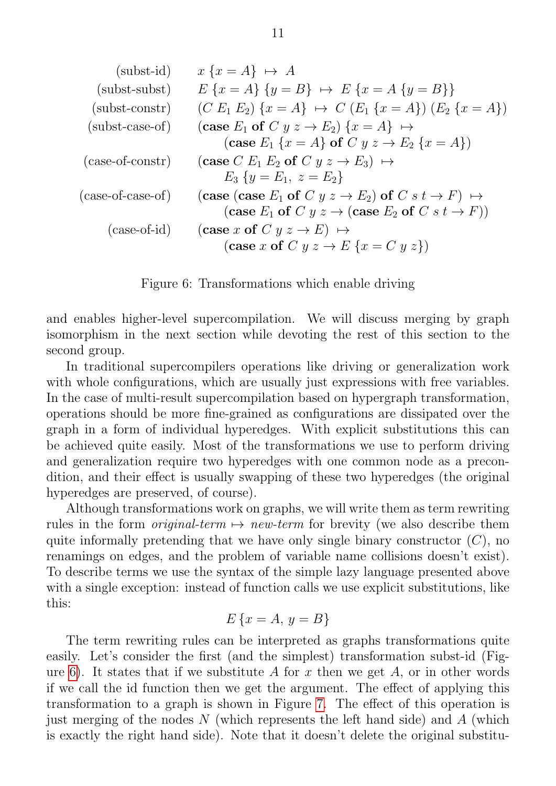<span id="page-11-0"></span>

| $(subst-id)$        | $x\{x=A\}\,\mapsto\,A$                                                     |
|---------------------|----------------------------------------------------------------------------|
| (subst-subst)       | $E\{x = A\}\{y = B\} \mapsto E\{x = A\{y = B\}\}\$                         |
| $(subst-constr)$    | $(C E_1 E_2)$ { $x = A$ } $\mapsto C (E_1 \{x = A\}) (E_2 \{x = A\})$      |
| (subst-case-of)     | (case $E_1$ of C $y z \rightarrow E_2$ ) $\{x = A\} \mapsto$               |
|                     | (case $E_1$ { $x = A$ } of C $y z \rightarrow E_2$ { $x = A$ })            |
| $(case-of-constr)$  | $(\cose C E_1 E_2 \text{ of } C y z \rightarrow E_3) \rightarrow$          |
|                     | $E_3 \{y = E_1, z = E_2\}$                                                 |
| $(case-of-case-of)$ | (case (case $E_1$ of C $y z \to E_2$ ) of C $s t \to F$ ) $\mapsto$        |
|                     | (case $E_1$ of C $y z \rightarrow$ (case $E_2$ of C $s t \rightarrow F$ )) |
| $(case-of-id)$      | $(\case x \text{ of } C y z \rightarrow E) \rightarrow$                    |
|                     | (case x of C y $z \to E$ { $x = C$ y z})                                   |

Figure 6: Transformations which enable driving

and enables higher-level supercompilation. We will discuss merging by graph isomorphism in the next section while devoting the rest of this section to the second group.

In traditional supercompilers operations like driving or generalization work with whole configurations, which are usually just expressions with free variables. In the case of multi-result supercompilation based on hypergraph transformation, operations should be more fine-grained as configurations are dissipated over the graph in a form of individual hyperedges. With explicit substitutions this can be achieved quite easily. Most of the transformations we use to perform driving and generalization require two hyperedges with one common node as a precondition, and their effect is usually swapping of these two hyperedges (the original hyperedges are preserved, of course).

Although transformations work on graphs, we will write them as term rewriting rules in the form *original-term*  $\mapsto$  *new-term* for brevity (we also describe them quite informally pretending that we have only single binary constructor  $(C)$ , no renamings on edges, and the problem of variable name collisions doesn't exist). To describe terms we use the syntax of the simple lazy language presented above with a single exception: instead of function calls we use explicit substitutions, like this:

$$
E\left\{x=A,\,y=B\right\}
$$

The term rewriting rules can be interpreted as graphs transformations quite easily. Let's consider the first (and the simplest) transformation subst-id (Fig-ure [6\)](#page-11-0). It states that if we substitute A for x then we get A, or in other words if we call the id function then we get the argument. The effect of applying this transformation to a graph is shown in Figure [7.](#page-12-0) The effect of this operation is just merging of the nodes  $N$  (which represents the left hand side) and  $A$  (which is exactly the right hand side). Note that it doesn't delete the original substitu-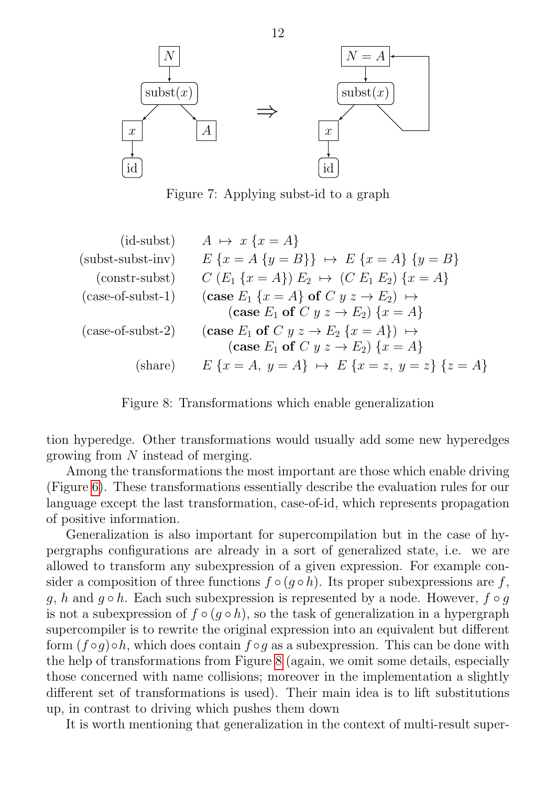<span id="page-12-0"></span>

Figure 7: Applying subst-id to a graph

<span id="page-12-1"></span>

| $(id-subst)$            | $A \mapsto x \{x = A\}$                                      |
|-------------------------|--------------------------------------------------------------|
| $(subst-subst-inv)$     | $E\{x = A\{y = B\}\}\ \mapsto\ E\{x = A\}\{y = B\}$          |
| $(constr\text{-}subst)$ | $C(E_1\{x=A\}) E_2 \mapsto (C E_1 E_2) \{x=A\}$              |
| $(case-of-subst-1)$     | (case $E_1 \{x = A\}$ of $C y z \rightarrow E_2$ ) $\mapsto$ |
|                         | (case $E_1$ of C $y z \rightarrow E_2$ ) $\{x = A\}$         |
| $(case-of-subst-2)$     | (case $E_1$ of C $y z \rightarrow E_2 \{x = A\}$ ) $\mapsto$ |
|                         | (case $E_1$ of C $y z \rightarrow E_2$ ) $\{x = A\}$         |
| (share)                 | $E\{x=A, y=A\} \mapsto E\{x=z, y=z\}\{z=A\}$                 |

Figure 8: Transformations which enable generalization

tion hyperedge. Other transformations would usually add some new hyperedges growing from  $N$  instead of merging.

Among the transformations the most important are those which enable driving (Figure [6\)](#page-11-0). These transformations essentially describe the evaluation rules for our language except the last transformation, case-of-id, which represents propagation of positive information.

Generalization is also important for supercompilation but in the case of hypergraphs configurations are already in a sort of generalized state, i.e. we are allowed to transform any subexpression of a given expression. For example consider a composition of three functions  $f \circ (q \circ h)$ . Its proper subexpressions are f, q, h and  $q \circ h$ . Each such subexpression is represented by a node. However,  $f \circ q$ is not a subexpression of  $f \circ (q \circ h)$ , so the task of generalization in a hypergraph supercompiler is to rewrite the original expression into an equivalent but different form  $(f \circ q) \circ h$ , which does contain  $f \circ q$  as a subexpression. This can be done with the help of transformations from Figure [8](#page-12-1) (again, we omit some details, especially those concerned with name collisions; moreover in the implementation a slightly different set of transformations is used). Their main idea is to lift substitutions up, in contrast to driving which pushes them down

It is worth mentioning that generalization in the context of multi-result super-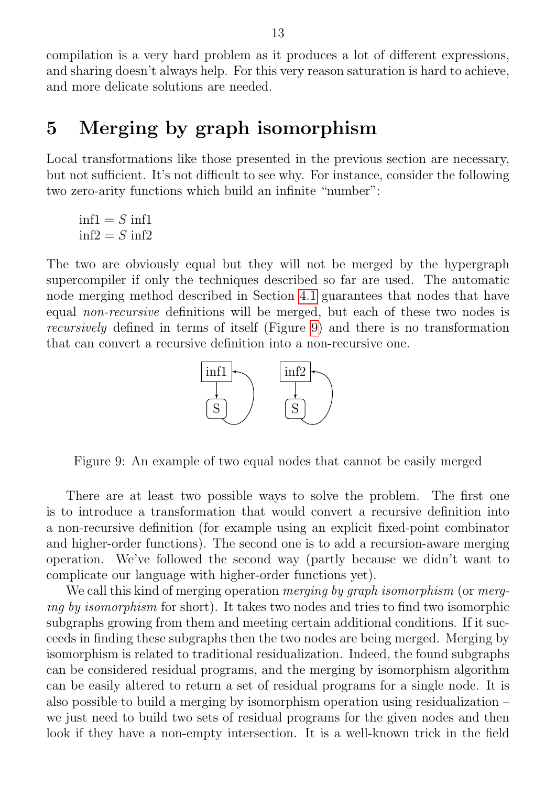compilation is a very hard problem as it produces a lot of different expressions, and sharing doesn't always help. For this very reason saturation is hard to achieve, and more delicate solutions are needed.

## <span id="page-13-0"></span>5 Merging by graph isomorphism

Local transformations like those presented in the previous section are necessary, but not sufficient. It's not difficult to see why. For instance, consider the following two zero-arity functions which build an infinite "number":

 $\inf1 = S \inf1$  $\inf2 = S \inf2$ 

<span id="page-13-1"></span>The two are obviously equal but they will not be merged by the hypergraph supercompiler if only the techniques described so far are used. The automatic node merging method described in Section [4.1](#page-9-1) guarantees that nodes that have equal non-recursive definitions will be merged, but each of these two nodes is recursively defined in terms of itself (Figure [9\)](#page-13-1) and there is no transformation that can convert a recursive definition into a non-recursive one.



Figure 9: An example of two equal nodes that cannot be easily merged

There are at least two possible ways to solve the problem. The first one is to introduce a transformation that would convert a recursive definition into a non-recursive definition (for example using an explicit fixed-point combinator and higher-order functions). The second one is to add a recursion-aware merging operation. We've followed the second way (partly because we didn't want to complicate our language with higher-order functions yet).

We call this kind of merging operation *merging by graph isomorphism* (or *merg*ing by isomorphism for short). It takes two nodes and tries to find two isomorphic subgraphs growing from them and meeting certain additional conditions. If it succeeds in finding these subgraphs then the two nodes are being merged. Merging by isomorphism is related to traditional residualization. Indeed, the found subgraphs can be considered residual programs, and the merging by isomorphism algorithm can be easily altered to return a set of residual programs for a single node. It is also possible to build a merging by isomorphism operation using residualization – we just need to build two sets of residual programs for the given nodes and then look if they have a non-empty intersection. It is a well-known trick in the field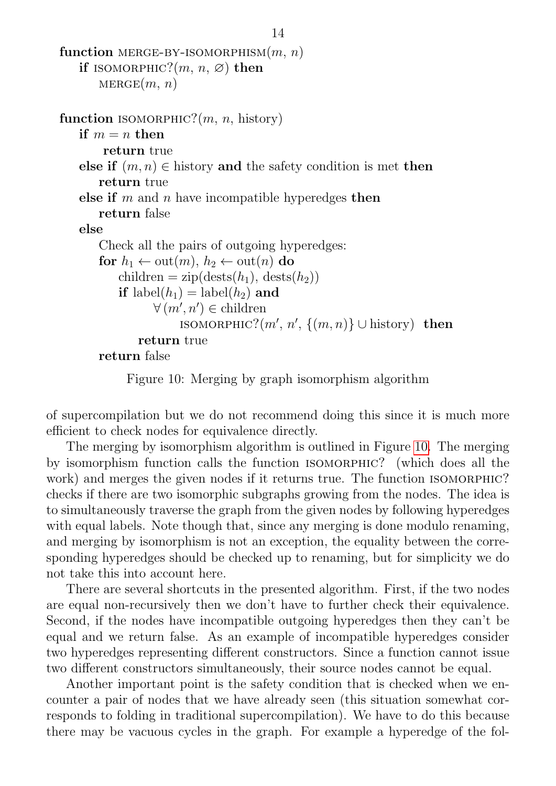```
function MERGE-BY-ISOMORPHISM(m, n)if ISOMORPHIC?(m, n, \emptyset) then
    MERGE(m, n)function ISOMORPHIC?(m, n, \text{history})if m = n then
     return true
else if (m, n) \in history and the safety condition is met then
    return true
else if m and n have incompatible hyperedges then
    return false
else
    Check all the pairs of outgoing hyperedges:
    for h_1 \leftarrow \text{out}(m), h_2 \leftarrow \text{out}(n) do
        children = zip(\text{dests}(h_1), \text{dests}(h_2))if label(h_1) = label(h_2) and
               \forall (m', n') \in \text{children}ISOMORPHIC?(m', n', \{(m, n)\} \cup history) then
            return true
    return false
```
14

Figure 10: Merging by graph isomorphism algorithm

of supercompilation but we do not recommend doing this since it is much more efficient to check nodes for equivalence directly.

The merging by isomorphism algorithm is outlined in Figure [10.](#page-14-0) The merging by isomorphism function calls the function isomorphic? (which does all the work) and merges the given nodes if it returns true. The function ISOMORPHIC? checks if there are two isomorphic subgraphs growing from the nodes. The idea is to simultaneously traverse the graph from the given nodes by following hyperedges with equal labels. Note though that, since any merging is done modulo renaming, and merging by isomorphism is not an exception, the equality between the corresponding hyperedges should be checked up to renaming, but for simplicity we do not take this into account here.

There are several shortcuts in the presented algorithm. First, if the two nodes are equal non-recursively then we don't have to further check their equivalence. Second, if the nodes have incompatible outgoing hyperedges then they can't be equal and we return false. As an example of incompatible hyperedges consider two hyperedges representing different constructors. Since a function cannot issue two different constructors simultaneously, their source nodes cannot be equal.

Another important point is the safety condition that is checked when we encounter a pair of nodes that we have already seen (this situation somewhat corresponds to folding in traditional supercompilation). We have to do this because there may be vacuous cycles in the graph. For example a hyperedge of the fol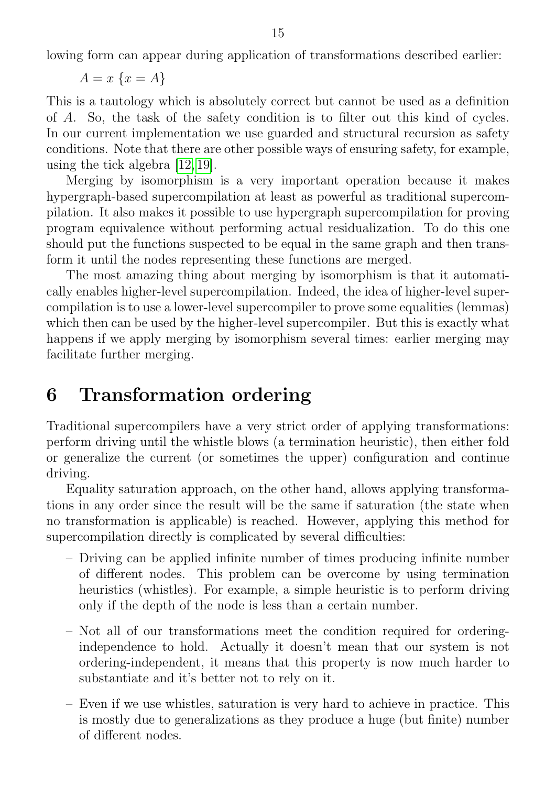lowing form can appear during application of transformations described earlier:

 $A = x \{ x = A \}$ 

This is a tautology which is absolutely correct but cannot be used as a definition of  $A$ . So, the task of the safety condition is to filter out this kind of cycles. In our current implementation we use guarded and structural recursion as safety conditions. Note that there are other possible ways of ensuring safety, for example, using the tick algebra [\[12,](#page-23-8) [19\]](#page-23-9).

Merging by isomorphism is a very important operation because it makes hypergraph-based supercompilation at least as powerful as traditional supercompilation. It also makes it possible to use hypergraph supercompilation for proving program equivalence without performing actual residualization. To do this one should put the functions suspected to be equal in the same graph and then transform it until the nodes representing these functions are merged.

The most amazing thing about merging by isomorphism is that it automatically enables higher-level supercompilation. Indeed, the idea of higher-level supercompilation is to use a lower-level supercompiler to prove some equalities (lemmas) which then can be used by the higher-level supercompiler. But this is exactly what happens if we apply merging by isomorphism several times: earlier merging may facilitate further merging.

## <span id="page-15-0"></span>6 Transformation ordering

Traditional supercompilers have a very strict order of applying transformations: perform driving until the whistle blows (a termination heuristic), then either fold or generalize the current (or sometimes the upper) configuration and continue driving.

Equality saturation approach, on the other hand, allows applying transformations in any order since the result will be the same if saturation (the state when no transformation is applicable) is reached. However, applying this method for supercompilation directly is complicated by several difficulties:

- Driving can be applied infinite number of times producing infinite number of different nodes. This problem can be overcome by using termination heuristics (whistles). For example, a simple heuristic is to perform driving only if the depth of the node is less than a certain number.
- Not all of our transformations meet the condition required for orderingindependence to hold. Actually it doesn't mean that our system is not ordering-independent, it means that this property is now much harder to substantiate and it's better not to rely on it.
- Even if we use whistles, saturation is very hard to achieve in practice. This is mostly due to generalizations as they produce a huge (but finite) number of different nodes.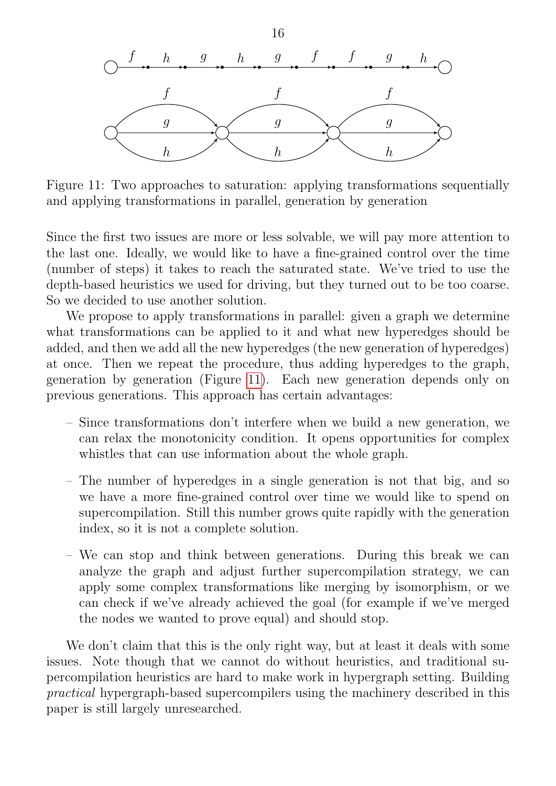<span id="page-16-0"></span>

Figure 11: Two approaches to saturation: applying transformations sequentially and applying transformations in parallel, generation by generation

Since the first two issues are more or less solvable, we will pay more attention to the last one. Ideally, we would like to have a fine-grained control over the time (number of steps) it takes to reach the saturated state. We've tried to use the depth-based heuristics we used for driving, but they turned out to be too coarse. So we decided to use another solution.

We propose to apply transformations in parallel: given a graph we determine what transformations can be applied to it and what new hyperedges should be added, and then we add all the new hyperedges (the new generation of hyperedges) at once. Then we repeat the procedure, thus adding hyperedges to the graph, generation by generation (Figure [11\)](#page-16-0). Each new generation depends only on previous generations. This approach has certain advantages:

- Since transformations don't interfere when we build a new generation, we can relax the monotonicity condition. It opens opportunities for complex whistles that can use information about the whole graph.
- The number of hyperedges in a single generation is not that big, and so we have a more fine-grained control over time we would like to spend on supercompilation. Still this number grows quite rapidly with the generation index, so it is not a complete solution.
- We can stop and think between generations. During this break we can analyze the graph and adjust further supercompilation strategy, we can apply some complex transformations like merging by isomorphism, or we can check if we've already achieved the goal (for example if we've merged the nodes we wanted to prove equal) and should stop.

We don't claim that this is the only right way, but at least it deals with some issues. Note though that we cannot do without heuristics, and traditional supercompilation heuristics are hard to make work in hypergraph setting. Building practical hypergraph-based supercompilers using the machinery described in this paper is still largely unresearched.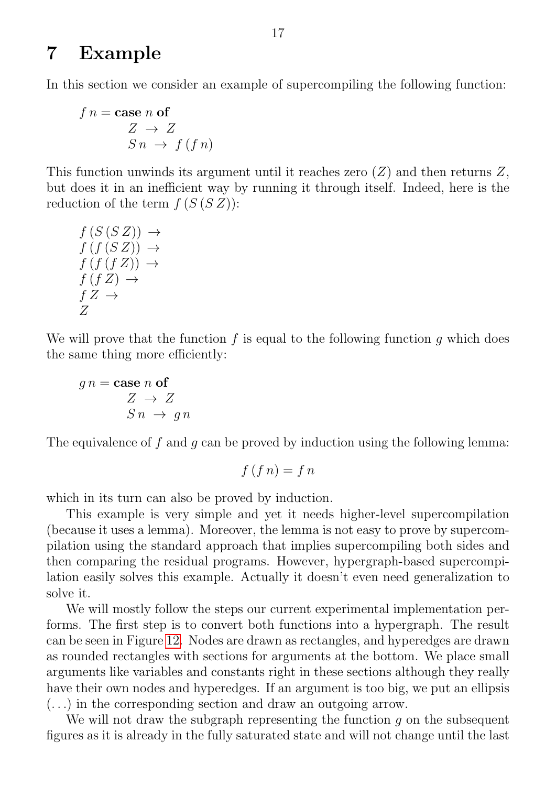## <span id="page-17-0"></span>7 Example

In this section we consider an example of supercompiling the following function:

$$
f n = \text{case } n \text{ of}
$$

$$
Z \to Z
$$

$$
S n \to f (f n)
$$

This function unwinds its argument until it reaches zero  $(Z)$  and then returns Z, but does it in an inefficient way by running it through itself. Indeed, here is the reduction of the term  $f(S(SZ))$ :

$$
f(S(SZ)) \rightarrow f(f(SZ)) \rightarrow f(f(fZ)) \rightarrow f(fZ) \rightarrow fZ \rightarrow Z
$$

We will prove that the function  $f$  is equal to the following function  $g$  which does the same thing more efficiently:

$$
g n = \textbf{case} \space n \space \textbf{of}
$$

$$
Z \rightarrow Z
$$

$$
S n \rightarrow g n
$$

The equivalence of  $f$  and  $g$  can be proved by induction using the following lemma:

$$
f(f n) = f n
$$

which in its turn can also be proved by induction.

This example is very simple and yet it needs higher-level supercompilation (because it uses a lemma). Moreover, the lemma is not easy to prove by supercompilation using the standard approach that implies supercompiling both sides and then comparing the residual programs. However, hypergraph-based supercompilation easily solves this example. Actually it doesn't even need generalization to solve it.

We will mostly follow the steps our current experimental implementation performs. The first step is to convert both functions into a hypergraph. The result can be seen in Figure [12.](#page-18-0) Nodes are drawn as rectangles, and hyperedges are drawn as rounded rectangles with sections for arguments at the bottom. We place small arguments like variables and constants right in these sections although they really have their own nodes and hyperedges. If an argument is too big, we put an ellipsis (. . .) in the corresponding section and draw an outgoing arrow.

We will not draw the subgraph representing the function  $q$  on the subsequent figures as it is already in the fully saturated state and will not change until the last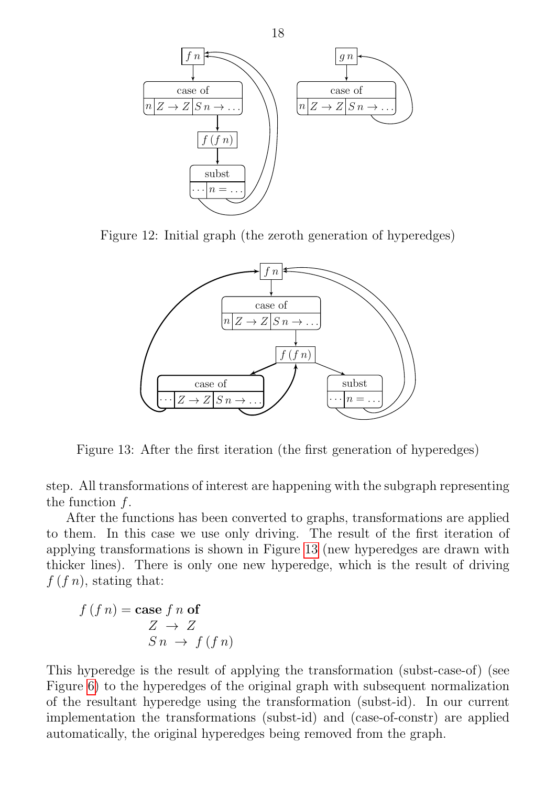<span id="page-18-0"></span>

<span id="page-18-1"></span>Figure 12: Initial graph (the zeroth generation of hyperedges)



Figure 13: After the first iteration (the first generation of hyperedges)

step. All transformations of interest are happening with the subgraph representing the function  $f$ .

After the functions has been converted to graphs, transformations are applied to them. In this case we use only driving. The result of the first iteration of applying transformations is shown in Figure [13](#page-18-1) (new hyperedges are drawn with thicker lines). There is only one new hyperedge, which is the result of driving  $f(f\,n)$ , stating that:

$$
f(f n) = \cose f n \text{ of}
$$
  

$$
Z \rightarrow Z
$$
  

$$
S n \rightarrow f(f n)
$$

This hyperedge is the result of applying the transformation (subst-case-of) (see Figure [6\)](#page-11-0) to the hyperedges of the original graph with subsequent normalization of the resultant hyperedge using the transformation (subst-id). In our current implementation the transformations (subst-id) and (case-of-constr) are applied automatically, the original hyperedges being removed from the graph.

18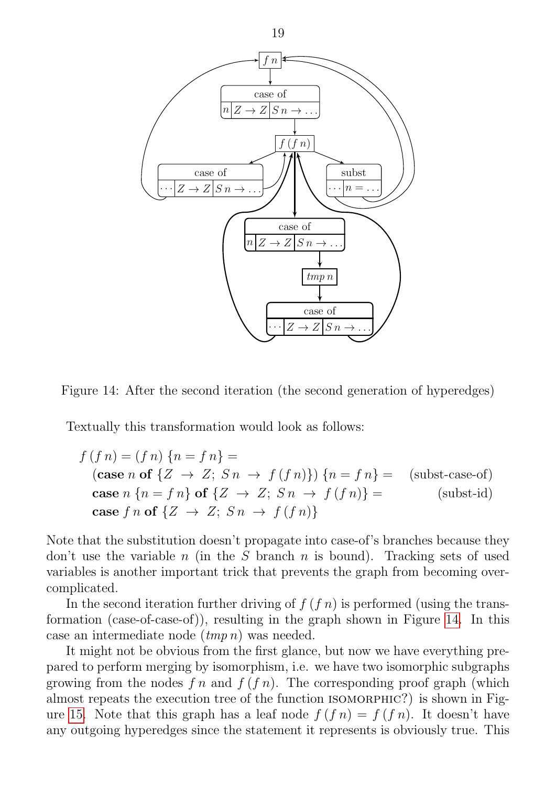<span id="page-19-0"></span>

Figure 14: After the second iteration (the second generation of hyperedges)

Textually this transformation would look as follows:

 $f(f n) = (f n) \{ n = f n \}$ (case *n* of  $\{Z \rightarrow Z : S \mid n \rightarrow f(f \mid n)\}\$ )  $\{n = f \mid n\} =$  (subst-case-of) case  $n \{n = f n\}$  of  $\{Z \rightarrow Z; S n \rightarrow f (f n)\}$  = (subst-id) case f n of  $\{Z \rightarrow Z; S \, n \rightarrow f(f \, n)\}$ 

Note that the substitution doesn't propagate into case-of's branches because they don't use the variable  $n$  (in the  $S$  branch  $n$  is bound). Tracking sets of used variables is another important trick that prevents the graph from becoming overcomplicated.

In the second iteration further driving of  $f(f\ n)$  is performed (using the transformation (case-of-case-of)), resulting in the graph shown in Figure [14.](#page-19-0) In this case an intermediate node  $(tmp n)$  was needed.

It might not be obvious from the first glance, but now we have everything prepared to perform merging by isomorphism, i.e. we have two isomorphic subgraphs growing from the nodes  $f n$  and  $f (fn)$ . The corresponding proof graph (which almost repeats the execution tree of the function ISOMORPHIC?) is shown in Fig-ure [15.](#page-20-1) Note that this graph has a leaf node  $f(f\eta) = f(f\eta)$ . It doesn't have any outgoing hyperedges since the statement it represents is obviously true. This

19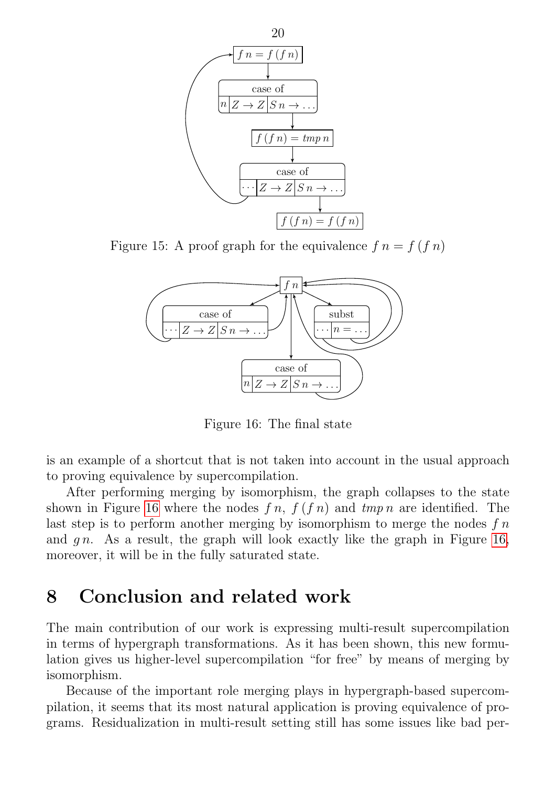<span id="page-20-1"></span>

<span id="page-20-2"></span>Figure 15: A proof graph for the equivalence  $f n = f(f n)$ 



Figure 16: The final state

is an example of a shortcut that is not taken into account in the usual approach to proving equivalence by supercompilation.

After performing merging by isomorphism, the graph collapses to the state shown in Figure [16](#page-20-2) where the nodes  $f n$ ,  $f (f n)$  and  $t m p n$  are identified. The last step is to perform another merging by isomorphism to merge the nodes  $fn$ and  $q\,n$ . As a result, the graph will look exactly like the graph in Figure [16,](#page-20-2) moreover, it will be in the fully saturated state.

### <span id="page-20-0"></span>8 Conclusion and related work

The main contribution of our work is expressing multi-result supercompilation in terms of hypergraph transformations. As it has been shown, this new formulation gives us higher-level supercompilation "for free" by means of merging by isomorphism.

Because of the important role merging plays in hypergraph-based supercompilation, it seems that its most natural application is proving equivalence of programs. Residualization in multi-result setting still has some issues like bad per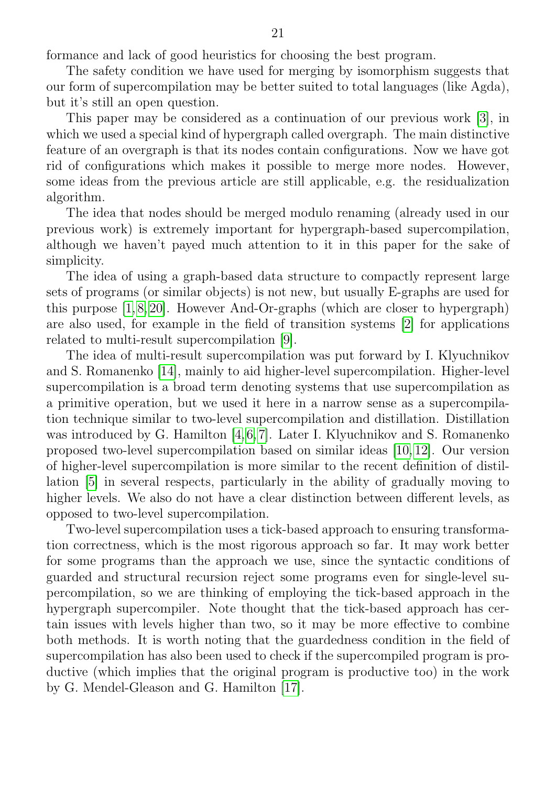formance and lack of good heuristics for choosing the best program.

The safety condition we have used for merging by isomorphism suggests that our form of supercompilation may be better suited to total languages (like Agda), but it's still an open question.

This paper may be considered as a continuation of our previous work [\[3\]](#page-22-1), in which we used a special kind of hypergraph called overgraph. The main distinctive feature of an overgraph is that its nodes contain configurations. Now we have got rid of configurations which makes it possible to merge more nodes. However, some ideas from the previous article are still applicable, e.g. the residualization algorithm.

The idea that nodes should be merged modulo renaming (already used in our previous work) is extremely important for hypergraph-based supercompilation, although we haven't payed much attention to it in this paper for the sake of simplicity.

The idea of using a graph-based data structure to compactly represent large sets of programs (or similar objects) is not new, but usually E-graphs are used for this purpose [\[1,](#page-22-2) [8,](#page-22-3) [20\]](#page-23-5). However And-Or-graphs (which are closer to hypergraph) are also used, for example in the field of transition systems [\[2\]](#page-22-4) for applications related to multi-result supercompilation [\[9\]](#page-22-5).

The idea of multi-result supercompilation was put forward by I. Klyuchnikov and S. Romanenko [\[14\]](#page-23-4), mainly to aid higher-level supercompilation. Higher-level supercompilation is a broad term denoting systems that use supercompilation as a primitive operation, but we used it here in a narrow sense as a supercompilation technique similar to two-level supercompilation and distillation. Distillation was introduced by G. Hamilton [\[4,](#page-22-6)[6,](#page-22-7)[7\]](#page-22-8). Later I. Klyuchnikov and S. Romanenko proposed two-level supercompilation based on similar ideas [\[10,](#page-23-10) [12\]](#page-23-8). Our version of higher-level supercompilation is more similar to the recent definition of distillation [\[5\]](#page-22-9) in several respects, particularly in the ability of gradually moving to higher levels. We also do not have a clear distinction between different levels, as opposed to two-level supercompilation.

Two-level supercompilation uses a tick-based approach to ensuring transformation correctness, which is the most rigorous approach so far. It may work better for some programs than the approach we use, since the syntactic conditions of guarded and structural recursion reject some programs even for single-level supercompilation, so we are thinking of employing the tick-based approach in the hypergraph supercompiler. Note thought that the tick-based approach has certain issues with levels higher than two, so it may be more effective to combine both methods. It is worth noting that the guardedness condition in the field of supercompilation has also been used to check if the supercompiled program is productive (which implies that the original program is productive too) in the work by G. Mendel-Gleason and G. Hamilton [\[17\]](#page-23-1).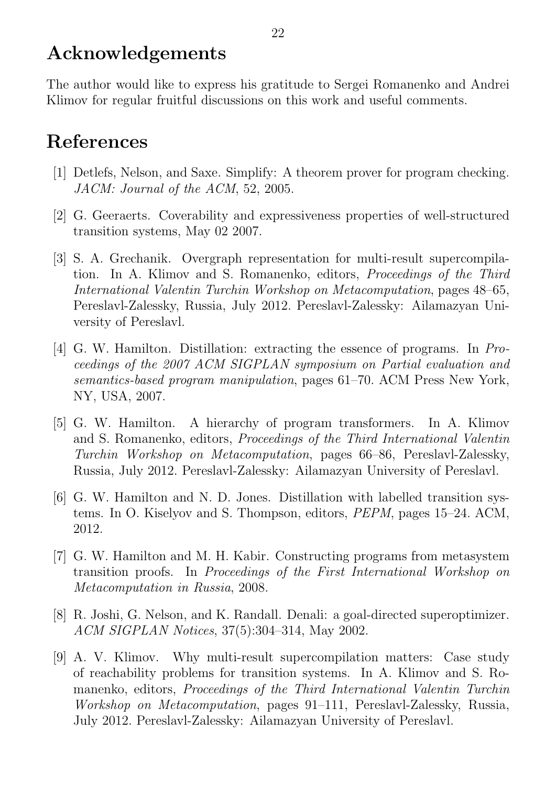## Acknowledgements

The author would like to express his gratitude to Sergei Romanenko and Andrei Klimov for regular fruitful discussions on this work and useful comments.

# <span id="page-22-0"></span>References

- <span id="page-22-2"></span>[1] Detlefs, Nelson, and Saxe. Simplify: A theorem prover for program checking. JACM: Journal of the ACM, 52, 2005.
- <span id="page-22-4"></span>[2] G. Geeraerts. Coverability and expressiveness properties of well-structured transition systems, May 02 2007.
- <span id="page-22-1"></span>[3] S. A. Grechanik. Overgraph representation for multi-result supercompilation. In A. Klimov and S. Romanenko, editors, Proceedings of the Third International Valentin Turchin Workshop on Metacomputation, pages 48–65, Pereslavl-Zalessky, Russia, July 2012. Pereslavl-Zalessky: Ailamazyan University of Pereslavl.
- <span id="page-22-6"></span>[4] G. W. Hamilton. Distillation: extracting the essence of programs. In Proceedings of the 2007 ACM SIGPLAN symposium on Partial evaluation and semantics-based program manipulation, pages 61–70. ACM Press New York, NY, USA, 2007.
- <span id="page-22-9"></span>[5] G. W. Hamilton. A hierarchy of program transformers. In A. Klimov and S. Romanenko, editors, Proceedings of the Third International Valentin Turchin Workshop on Metacomputation, pages 66–86, Pereslavl-Zalessky, Russia, July 2012. Pereslavl-Zalessky: Ailamazyan University of Pereslavl.
- <span id="page-22-7"></span>[6] G. W. Hamilton and N. D. Jones. Distillation with labelled transition systems. In O. Kiselyov and S. Thompson, editors, PEPM, pages 15–24. ACM, 2012.
- <span id="page-22-8"></span>[7] G. W. Hamilton and M. H. Kabir. Constructing programs from metasystem transition proofs. In Proceedings of the First International Workshop on Metacomputation in Russia, 2008.
- <span id="page-22-3"></span>[8] R. Joshi, G. Nelson, and K. Randall. Denali: a goal-directed superoptimizer. ACM SIGPLAN Notices, 37(5):304–314, May 2002.
- <span id="page-22-5"></span>[9] A. V. Klimov. Why multi-result supercompilation matters: Case study of reachability problems for transition systems. In A. Klimov and S. Romanenko, editors, Proceedings of the Third International Valentin Turchin Workshop on Metacomputation, pages 91–111, Pereslavl-Zalessky, Russia, July 2012. Pereslavl-Zalessky: Ailamazyan University of Pereslavl.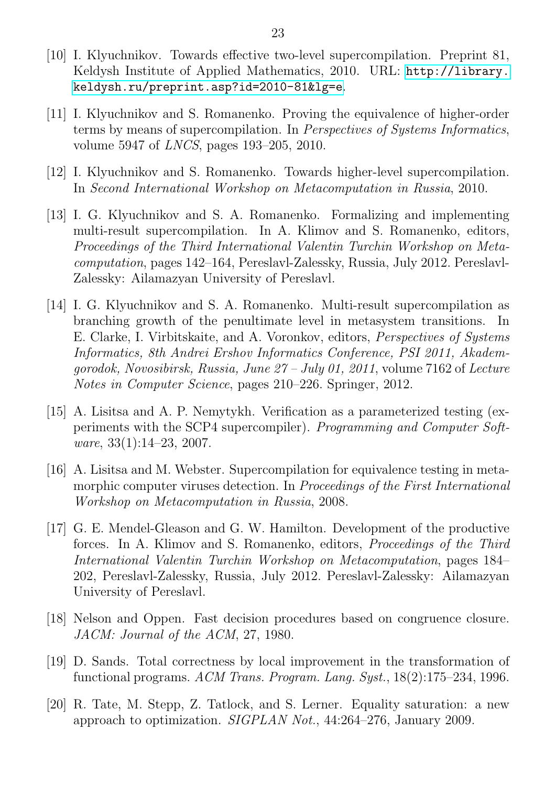- <span id="page-23-10"></span>[10] I. Klyuchnikov. Towards effective two-level supercompilation. Preprint 81, Keldysh Institute of Applied Mathematics, 2010. URL: [http://library.](http://library.keldysh.ru/preprint.asp?id=2010-81&lg=e) [keldysh.ru/preprint.asp?id=2010-81&lg=e](http://library.keldysh.ru/preprint.asp?id=2010-81&lg=e).
- <span id="page-23-2"></span>[11] I. Klyuchnikov and S. Romanenko. Proving the equivalence of higher-order terms by means of supercompilation. In Perspectives of Systems Informatics, volume 5947 of LNCS, pages 193–205, 2010.
- <span id="page-23-8"></span>[12] I. Klyuchnikov and S. Romanenko. Towards higher-level supercompilation. In Second International Workshop on Metacomputation in Russia, 2010.
- <span id="page-23-6"></span>[13] I. G. Klyuchnikov and S. A. Romanenko. Formalizing and implementing multi-result supercompilation. In A. Klimov and S. Romanenko, editors, Proceedings of the Third International Valentin Turchin Workshop on Metacomputation, pages 142–164, Pereslavl-Zalessky, Russia, July 2012. Pereslavl-Zalessky: Ailamazyan University of Pereslavl.
- <span id="page-23-4"></span>[14] I. G. Klyuchnikov and S. A. Romanenko. Multi-result supercompilation as branching growth of the penultimate level in metasystem transitions. In E. Clarke, I. Virbitskaite, and A. Voronkov, editors, Perspectives of Systems Informatics, 8th Andrei Ershov Informatics Conference, PSI 2011, Akademgorodok, Novosibirsk, Russia, June  $27 - July 01$ ,  $2011$ , volume 7162 of Lecture Notes in Computer Science, pages 210–226. Springer, 2012.
- <span id="page-23-0"></span>[15] A. Lisitsa and A. P. Nemytykh. Verification as a parameterized testing (experiments with the SCP4 supercompiler). Programming and Computer Software,  $33(1):14-23$ ,  $2007$ .
- <span id="page-23-3"></span>[16] A. Lisitsa and M. Webster. Supercompilation for equivalence testing in metamorphic computer viruses detection. In Proceedings of the First International Workshop on Metacomputation in Russia, 2008.
- <span id="page-23-1"></span>[17] G. E. Mendel-Gleason and G. W. Hamilton. Development of the productive forces. In A. Klimov and S. Romanenko, editors, Proceedings of the Third International Valentin Turchin Workshop on Metacomputation, pages 184– 202, Pereslavl-Zalessky, Russia, July 2012. Pereslavl-Zalessky: Ailamazyan University of Pereslavl.
- <span id="page-23-7"></span>[18] Nelson and Oppen. Fast decision procedures based on congruence closure. JACM: Journal of the ACM, 27, 1980.
- <span id="page-23-9"></span>[19] D. Sands. Total correctness by local improvement in the transformation of functional programs. ACM Trans. Program. Lang. Syst., 18(2):175–234, 1996.
- <span id="page-23-5"></span>[20] R. Tate, M. Stepp, Z. Tatlock, and S. Lerner. Equality saturation: a new approach to optimization. SIGPLAN Not., 44:264–276, January 2009.